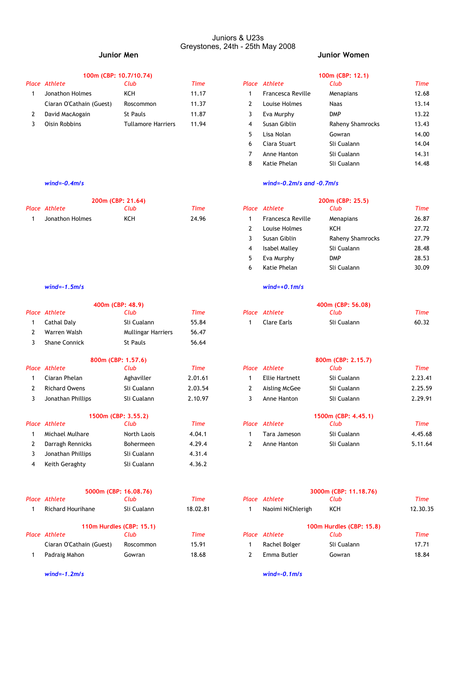### Juniors & U23s Greystones, 24th - 25th May 2008

| 100m (CBP: 10.7/10.74)   |                           |       | 100m (CBP: 12.1) |                   |                  |       |
|--------------------------|---------------------------|-------|------------------|-------------------|------------------|-------|
| Place Athlete            | Club                      | Time  |                  | Place Athlete     | Club             | Time  |
| Jonathon Holmes          | KCH                       | 11.17 |                  | Francesca Reville | Menapians        | 12.68 |
| Ciaran O'Cathain (Guest) | Roscommon                 | 11.37 |                  | Louise Holmes     | Naas             | 13.14 |
| David MacAogain          | St Pauls                  | 11.87 |                  | Eva Murphy        | <b>DMP</b>       | 13.22 |
| Oisin Robbins            | <b>Tullamore Harriers</b> | 11.94 |                  | Susan Giblin      | Raheny Shamrocks | 13.43 |
|                          |                           |       |                  |                   |                  |       |

| 200m (CBP: 21.64) |      |       |  | 200m (CBP: 25.5)  |           |       |  |
|-------------------|------|-------|--|-------------------|-----------|-------|--|
| Place Athlete     | Club | Time  |  | Place Athlete     | Club      | Time  |  |
| Jonathon Holmes   |      | 24.96 |  | Francesca Reville | Menapians | 26.87 |  |

|   |                      | 400m (CBP: 48.9)          |             |       |                       | 400m (CBP: 56.08)     |             |
|---|----------------------|---------------------------|-------------|-------|-----------------------|-----------------------|-------------|
|   | Place Athlete        | Club                      | Time        |       | Place Athlete         | Club                  | Time        |
|   | Cathal Daly          | Sli Cualann               | 55.84       |       | <b>Clare Earls</b>    | Sli Cualann           | 60.32       |
| 2 | Warren Walsh         | <b>Mullingar Harriers</b> | 56.47       |       |                       |                       |             |
| 3 | <b>Shane Connick</b> | St Pauls                  | 56.64       |       |                       |                       |             |
|   |                      | 800m (CBP: 1.57.6)        |             |       |                       | 800m (CBP: 2.15.7)    |             |
|   | <b>Place Athlete</b> | Club                      | <b>Time</b> | Place | Athlete               | Club                  | <b>Time</b> |
|   | Ciaran Phelan        | Aghaviller                | 2.01.61     |       | <b>Ellie Hartnett</b> | Sli Cualann           | 2.23.41     |
| 2 | <b>Richard Owens</b> | Sli Cualann               | 2.03.54     | 2     | Aisling McGee         | Sli Cualann           | 2.25.59     |
| 3 | Jonathan Phillips    | Sli Cualann               | 2.10.97     | 3     | Anne Hanton           | Sli Cualann           | 2.29.91     |
|   |                      | 1500m (CBP: 3.55.2)       |             |       |                       | 1500m (CBP: 4.45.1)   |             |
|   | Place Athlete        | Club                      | <b>Time</b> |       | Place Athlete         | Club                  | <b>Time</b> |
|   | Michael Mulhare      | North Laois               | 4.04.1      |       | Tara Jameson          | Sli Cualann           | 4.45.68     |
| 2 | Darragh Rennicks     | <b>Bohermeen</b>          | 4.29.4      | 2     | Anne Hanton           | Sli Cualann           | 5.11.64     |
| 3 | Jonathan Phillips    | Sli Cualann               | 4.31.4      |       |                       |                       |             |
| 4 | Keith Geraghty       | Sli Cualann               | 4.36.2      |       |                       |                       |             |
|   |                      | 5000m (CBP: 16.08.76)     |             |       |                       | 3000m (CBP: 11.18.76) |             |
|   | Place Athlete        | Club                      | <b>Time</b> |       | Place Athlete         | Club                  | <b>Time</b> |

| <b>Richard Hourihane</b> | Sli Cualann              | 18.02.81 | Naoimi NiChlerigh | KCH                      | 12.30.3 |
|--------------------------|--------------------------|----------|-------------------|--------------------------|---------|
|                          | 110m Hurdles (CBP: 15.1) |          |                   | 100m Hurdles (CBP: 15.8) |         |
| Place Athlete            | Club                     | Time     | Place Athlete     | Club                     | Time    |
| Ciaran O'Cathain (Guest) | Roscommon                | 15.91    | Rachel Bolger     | Sli Cualann              | 17.71   |
| Padraig Mahon            | Gowran                   | 18.68    | Emma Butler       | Gowran                   | 18.84   |

# **Junior Men Junior Women**

| 100m (CBP: 12.1 |  |
|-----------------|--|
|                 |  |
|                 |  |

| ace Athlete              | Club                      | Time  |    | Place Athlete     | Club             | Time  |
|--------------------------|---------------------------|-------|----|-------------------|------------------|-------|
| Jonathon Holmes          | KCH                       | 11.17 |    | Francesca Reville | Menapians        | 12.68 |
| Ciaran O'Cathain (Guest) | Roscommon                 | 11.37 |    | Louise Holmes     | <b>Naas</b>      | 13.14 |
| David MacAogain          | St Pauls                  | 11.87 |    | Eva Murphy        | <b>DMP</b>       | 13.22 |
| Oisin Robbins            | <b>Tullamore Harriers</b> | 11.94 | 4  | Susan Giblin      | Raheny Shamrocks | 13.43 |
|                          |                           |       | 5. | Lisa Nolan        | Gowran           | 14.00 |
|                          |                           |       | 6  | Ciara Stuart      | Sli Cualann      | 14.04 |
|                          |                           |       |    | Anne Hanton       | Sli Cualann      | 14.31 |
|                          |                           |       | 8  | Katie Phelan      | Sli Cualann      | 14.48 |

# *wind=-0.4m/s wind=-0.2m/s and -0.7m/s*

|                 | 200m (CBP: 21.64) |       |    |                   | 200m (CBP: 25.5) |             |
|-----------------|-------------------|-------|----|-------------------|------------------|-------------|
| ace Athlete     | Club              | Time  |    | Place Athlete     | Club             | <b>Time</b> |
| Jonathon Holmes | KCH               | 24.96 |    | Francesca Reville | Menapians        | 26.87       |
|                 |                   |       |    | Louise Holmes     | KCH              | 27.72       |
|                 |                   |       |    | Susan Giblin      | Raheny Shamrocks | 27.79       |
|                 |                   |       | 4  | Isabel Malley     | Sli Cualann      | 28.48       |
|                 |                   |       | 5. | Eva Murphy        | <b>DMP</b>       | 28.53       |
|                 |                   |       | 6  | Katie Phelan      | Sli Cualann      | 30.09       |

### *wind=-1.5m/s wind=+0.1m/s*

| 400m (CBP: 48.9) |             |       |  | 400m (CBP: 56.08) |             |       |  |
|------------------|-------------|-------|--|-------------------|-------------|-------|--|
| Place Athlete    | Club        | Time  |  | Place Athlete     | Club        | Time  |  |
| Cathal Daly      | Sli Cualann | 55.84 |  | Clare Earls       | Sli Cualann | 60.32 |  |

|                      | 800m (CBP: 1.57.6)  |         |                       | 800m (CBP: 2.15.7)  |         |
|----------------------|---------------------|---------|-----------------------|---------------------|---------|
| Place Athlete        | Club                | Time    | Place Athlete         | Club                | Time    |
| Ciaran Phelan        | Aghaviller          | 2.01.61 | <b>Ellie Hartnett</b> | Sli Cualann         | 2.23.41 |
| <b>Richard Owens</b> | Sli Cualann         | 2.03.54 | Aisling McGee         | Sli Cualann         | 2.25.59 |
| Jonathan Phillips    | Sli Cualann         | 2.10.97 | Anne Hanton           | Sli Cualann         | 2.29.91 |
|                      | 1500m (CBP: 3.55.2) |         |                       | 1500m (CBP: 4.45.1) |         |
| Place Athlete        | Club                | Time    | Place Athlete         | Club                | Time    |
| Michael Mulhare      | North Laois         | 4.04.1  | Tara Jameson          | Sli Cualann         | 4.45.68 |
|                      |                     |         |                       |                     |         |

| 5000m (CBP: 16.08.76)    |                          |          |  | 3000m (CBP: 11.18.76) |                          |             |  |
|--------------------------|--------------------------|----------|--|-----------------------|--------------------------|-------------|--|
| Place Athlete            | Club                     | Time     |  | Place Athlete         | Club                     | Time        |  |
| <b>Richard Hourihane</b> | Sli Cualann              | 18.02.81 |  | Naoimi NiChlerigh     | KCH                      | 12.30.35    |  |
|                          | 110m Hurdles (CBP: 15.1) |          |  |                       | 100m Hurdles (CBP: 15.8) |             |  |
| Place Athlete            | Club                     | Time     |  | Place Athlete         | Club                     | <b>Time</b> |  |
| Ciaran O'Cathain (Guest) | Roscommon                | 15.91    |  | Rachel Bolger         | Sli Cualann              | 17.71       |  |
| Padraig Mahon            | Gowran                   | 18.68    |  | Emma Butler           | Gowran                   | 18.84       |  |

*wind=-1.2m/s wind=-0.1m/s*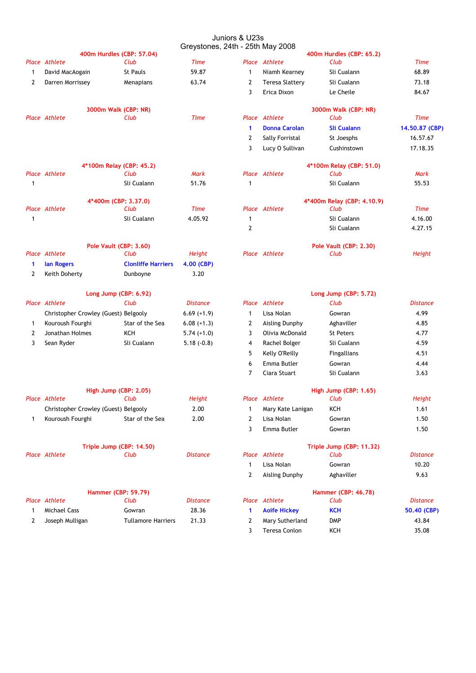### Juniors & U23s Greystones, 24th - 25th May 2008

|              |                                      | 400m Hurdles (CBP: 57.04) |                 |                |                        | 400m Hurdles (CBP: 65.2)   |                 |
|--------------|--------------------------------------|---------------------------|-----------------|----------------|------------------------|----------------------------|-----------------|
|              | Place Athlete                        | Club                      | <b>Time</b>     |                | Place Athlete          | Club                       | <b>Time</b>     |
| 1            | David MacAogain                      | St Pauls                  | 59.87           | $\mathbf{1}$   | Niamh Kearney          | Sli Cualann                | 68.89           |
| $\mathbf{2}$ | Darren Morrissey                     | Menapians                 | 63.74           | $\mathbf{2}$   | <b>Teresa Slattery</b> | Sli Cualann                | 73.18           |
|              |                                      |                           |                 | 3              | Erica Dixon            | Le Cheile                  | 84.67           |
|              |                                      | 3000m Walk (CBP: NR)      |                 |                |                        | 3000m Walk (CBP: NR)       |                 |
|              | Place Athlete                        | Club                      | <b>Time</b>     |                | Place Athlete          | Club                       | <b>Time</b>     |
|              |                                      |                           |                 | $\mathbf{1}$   | <b>Donna Carolan</b>   | <b>Sli Cualann</b>         | 14.50.87 (CBP)  |
|              |                                      |                           |                 | $\mathbf{2}$   | Sally Forristal        | St Joesphs                 | 16.57.67        |
|              |                                      |                           |                 | 3              | Lucy O Sullivan        | Cushinstown                | 17.18.35        |
|              |                                      | 4*100m Relay (CBP: 45.2)  |                 |                |                        | 4*100m Relay (CBP: 51.0)   |                 |
|              | <b>Place Athlete</b>                 | Club                      | Mark            |                | Place Athlete          | Club                       | <b>Mark</b>     |
| $\mathbf{1}$ |                                      | Sli Cualann               | 51.76           | $\mathbf{1}$   |                        | Sli Cualann                | 55.53           |
|              |                                      | 4*400m (CBP: 3.37.0)      |                 |                |                        | 4*400m Relay (CBP: 4.10.9) |                 |
|              | Place Athlete                        | Club                      | <b>Time</b>     |                | Place Athlete          | Club                       | <b>Time</b>     |
| 1            |                                      | Sli Cualann               | 4.05.92         | $\mathbf{1}$   |                        | Sli Cualann                | 4.16.00         |
|              |                                      |                           |                 | 2              |                        | Sli Cualann                | 4.27.15         |
|              |                                      | Pole Vault (CBP: 3.60)    |                 |                |                        | Pole Vault (CBP: 2.30)     |                 |
|              | <b>Place Athlete</b>                 | Club                      | <b>Height</b>   |                | Place Athlete          | Club                       | Height          |
| 1            | lan Rogers                           | <b>Clonliffe Harriers</b> | 4.00 (CBP)      |                |                        |                            |                 |
| $\mathbf{2}$ | Keith Doherty                        | Dunboyne                  | 3.20            |                |                        |                            |                 |
|              |                                      | Long Jump (CBP: 6.92)     |                 |                |                        | Long Jump (CBP: 5.72)      |                 |
|              | Place Athlete                        | Club                      | <b>Distance</b> |                | Place Athlete          | Club                       | <b>Distance</b> |
|              | Christopher Crowley (Guest) Belgooly |                           | $6.69 (+1.9)$   | $\mathbf{1}$   | Lisa Nolan             | Gowran                     | 4.99            |
| 1            | Kouroush Fourghi                     | Star of the Sea           | $6.08 (+1.3)$   | $\mathbf{2}$   | Aisling Dunphy         | Aghaviller                 | 4.85            |
| 2            | Jonathan Holmes                      | KCH                       | $5.74 (+1.0)$   | 3              | Olivia McDonald        | <b>St Peters</b>           | 4.77            |
| 3            | Sean Ryder                           | Sli Cualann               | $5.18(-0.8)$    | 4              | Rachel Bolger          | Sli Cualann                | 4.59            |
|              |                                      |                           |                 | 5              | Kelly O'Reilly         | <b>Fingallians</b>         | 4.51            |
|              |                                      |                           |                 | 6              | Emma Butler            | Gowran                     | 4.44            |
|              |                                      |                           |                 | 7              | Ciara Stuart           | Sli Cualann                | 3.63            |
|              |                                      | High Jump (CBP: 2.05)     |                 |                |                        | High Jump (CBP: 1.65)      |                 |
|              | Place Athlete                        | Club                      | Height          |                | Place Athlete          | Club                       | Height          |
|              | Christopher Crowley (Guest) Belgooly |                           | 2.00            | $\mathbf{1}$   | Mary Kate Lanigan      | KCH                        | 1.61            |
| 1            | Kouroush Fourghi                     | Star of the Sea           | 2.00            | 2              | Lisa Nolan             | Gowran                     | 1.50            |
|              |                                      |                           |                 | 3              | Emma Butler            | Gowran                     | 1.50            |
|              |                                      | Triple Jump (CBP: 14.50)  |                 |                |                        | Triple Jump (CBP: 11.32)   |                 |
|              | Place Athlete                        | Club                      | Distance        |                | Place Athlete          | Club                       | <b>Distance</b> |
|              |                                      |                           |                 | $\mathbf{1}$   | Lisa Nolan             | Gowran                     | 10.20           |
|              |                                      |                           |                 | $\overline{2}$ | Aisling Dunphy         | Aghaviller                 | 9.63            |
|              |                                      | Hammer (CBP: 59.79)       |                 |                |                        | <b>Hammer (CBP: 46.78)</b> |                 |
|              | Place Athlete                        | Club                      | Distance        |                | Place Athlete          | Club                       | <b>Distance</b> |
| 1            | <b>Michael Cass</b>                  | Gowran                    | 28.36           | 1              | <b>Aoife Hickey</b>    | <b>KCH</b>                 | 50.40 (CBP)     |
| 2            | Joseph Mulligan                      | <b>Tullamore Harriers</b> | 21.33           | 2              | Mary Sutherland        | <b>DMP</b>                 | 43.84           |
|              |                                      |                           |                 | 3              | Teresa Conlon          | KCH                        | 35.08           |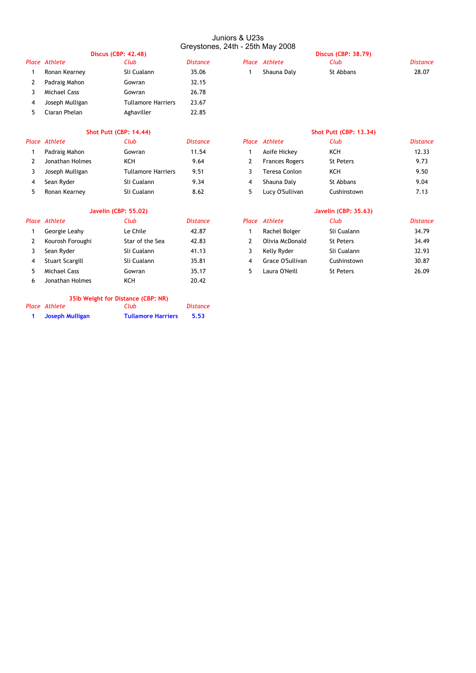### Juniors & U23s Greystones, 24th - 25th May 2008

|   |                 |                            | <b>GIEYSLON</b> |
|---|-----------------|----------------------------|-----------------|
|   |                 | <b>Discus (CBP: 42.48)</b> |                 |
|   | Place Athlete   | Club                       | <b>Distance</b> |
| 1 | Ronan Kearney   | Sli Cualann                | 35.06           |
|   | Padraig Mahon   | Gowran                     | 32.15           |
| 3 | Michael Cass    | Gowran                     | 26.78           |
| 4 | Joseph Mulligan | <b>Tullamore Harriers</b>  | 23.67           |
| 5 | Ciaran Phelan   | Aghaviller                 | 22.85           |
|   |                 |                            |                 |

| <b>Discus (CBP: 42.48)</b> |             |          | <b>Discus (CBP: 38.79)</b> |               |           |          |
|----------------------------|-------------|----------|----------------------------|---------------|-----------|----------|
| Place Athlete              | Club        | Distance |                            | Place Athlete | Club      | Distance |
| Ronan Kearnev              | Sli Cualann | 35.06    |                            | Shauna Dalv   | St Abbans | 28.07    |
| Dodroig Mahon              | Convon      | つつ ィに    |                            |               |           |          |

|              | Place Athlete   | Club                      | <b>Distance</b> |   | Place Athlete        |
|--------------|-----------------|---------------------------|-----------------|---|----------------------|
| $\mathbf{1}$ | Padraig Mahon   | Gowran                    | 11.54           |   | Aoife Hickey         |
|              | Jonathan Holmes | KCH                       | 9.64            |   | <b>Frances Roger</b> |
|              | Joseph Mulligan | <b>Tullamore Harriers</b> | 9.51            | 3 | Teresa Conlon        |
| 4            | Sean Ryder      | Sli Cualann               | 9.34            |   | Shauna Daly          |
| 5            | Ronan Kearney   | Sli Cualann               | 8.62            | 5 | Lucy O'Sullivar      |

# **Javelin (CBP: 55.02) Javelin (CBP: 35.63)**

|   | Place Athlete       | Club            | <b>Distance</b> | Place Athlete    | Club             | <b>Distance</b> |
|---|---------------------|-----------------|-----------------|------------------|------------------|-----------------|
|   | Georgie Leahy       | Le Chile        | 42.87           | Rachel Bolger    | Sli Cualann      | 34.79           |
|   | Kourosh Foroughi    | Star of the Sea | 42.83           | Olivia McDonald  | St Peters        | 34.49           |
|   | Sean Ryder          | Sli Cualann     | 41.13           | Kelly Ryder      | Sli Cualann      | 32.93           |
|   | Stuart Scargill     | Sli Cualann     | 35.81           | Grace O'Sullivan | Cushinstown      | 30.87           |
|   | <b>Michael Cass</b> | Gowran          | 35.17           | Laura O'Neill    | <b>St Peters</b> | 26.09           |
| 6 | Jonathan Holmes     | KCH             | 20.42           |                  |                  |                 |
|   |                     |                 |                 |                  |                  |                 |

# **35lb Weight for Distance (CBP: NR)**

| Place Athlete   | Club                      | Distance |
|-----------------|---------------------------|----------|
| Joseph Mulligan | <b>Tullamore Harriers</b> | 5.53     |

| <b>Shot Putt (CBP: 14.44)</b> |                           |                 |   | <b>Shot Putt (CBP: 13,34)</b> |                  |                 |  |
|-------------------------------|---------------------------|-----------------|---|-------------------------------|------------------|-----------------|--|
|                               | Club                      | <b>Distance</b> |   |                               | Club             | <b>Distance</b> |  |
| Padraig Mahon                 | Gowran                    | 11.54           |   | Aoife Hickey                  | KCH              | 12.33           |  |
| Jonathan Holmes               | KCH                       | 9.64            |   | <b>Frances Rogers</b>         | <b>St Peters</b> | 9.73            |  |
| Joseph Mulligan               | <b>Tullamore Harriers</b> | 9.51            |   | Teresa Conlon                 | KCH              | 9.50            |  |
| Sean Ryder                    | Sli Cualann               | 9.34            | 4 | Shauna Daly                   | St Abbans        | 9.04            |  |
| Ronan Kearney                 | Sli Cualann               | 8.62            |   | Lucy O'Sullivan               | Cushinstown      | 7.13            |  |
|                               | Place Athlete             |                 |   |                               | Place Athlete    |                 |  |

| ace Athlete      | Club            | <b>Distance</b> | Place Athlete    | Club             | Distanc |
|------------------|-----------------|-----------------|------------------|------------------|---------|
| Georgie Leahy    | Le Chile        | 42.87           | Rachel Bolger    | Sli Cualann      | 34.79   |
| Kourosh Foroughi | Star of the Sea | 42.83           | Olivia McDonald  | <b>St Peters</b> | 34.49   |
| Sean Ryder       | Sli Cualann     | 41.13           | Kelly Ryder      | Sli Cualann      | 32.93   |
| Stuart Scargill  | Sli Cualann     | 35.81           | Grace O'Sullivan | Cushinstown      | 30.87   |
| Michael Cass     | Gowran          | 35.17           | Laura O'Neill    | <b>St Peters</b> | 26.09   |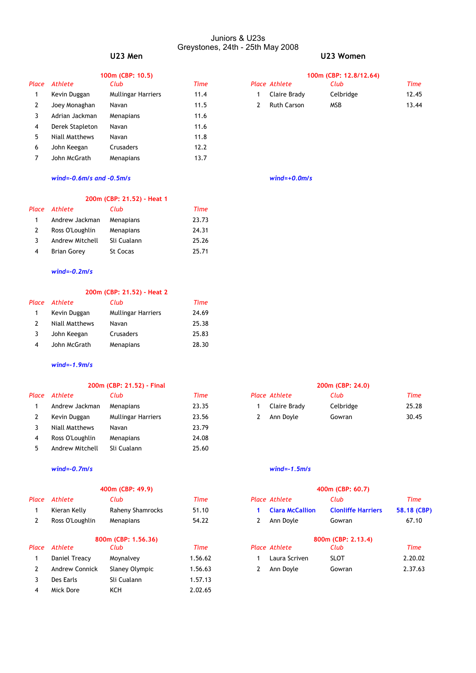### Juniors & U23s Greystones, 24th - 25th May 2008 **U23 Men U23 Women**

|       |                 | 100m (CBP: 10.5)          |      |   |                    | 100m (CBP: 12.8) |
|-------|-----------------|---------------------------|------|---|--------------------|------------------|
| Place | Athlete         | Club                      | Time |   | Place Athlete      | Club             |
| 1     | Kevin Duggan    | <b>Mullingar Harriers</b> | 11.4 |   | Claire Brady       | Celbridge        |
| 2     | Joey Monaghan   | Navan                     | 11.5 | 2 | <b>Ruth Carson</b> | <b>MSB</b>       |
| 3     | Adrian Jackman  | Menapians                 | 11.6 |   |                    |                  |
| 4     | Derek Stapleton | Navan                     | 11.6 |   |                    |                  |
| 5     | Niall Matthews  | Navan                     | 11.8 |   |                    |                  |
| 6     | John Keegan     | <b>Crusaders</b>          | 12.2 |   |                    |                  |
|       | John McGrath    | Menapians                 | 13.7 |   |                    |                  |
|       |                 |                           |      |   |                    |                  |

|       | 100m (CBP: 10.5) |                    |      |  | 100m (CBP: 12,8/12,64) |            |       |  |
|-------|------------------|--------------------|------|--|------------------------|------------|-------|--|
| Place | Athlete          | Club               | Time |  | Place Athlete          | Club       | Time  |  |
|       | Kevin Duggan     | Mullingar Harriers | 11.4 |  | Claire Brady           | Celbridge  | 12.45 |  |
|       | Joey Monaghan    | Navan              | 11.5 |  | Ruth Carson            | <b>MSB</b> | 13.44 |  |

# *wind=-0.6m/s and -0.5m/s wind=+0.0m/s*

# **200m (CBP: 21.52) - Heat 1**

| Place Athlete      | Club            | Time  |
|--------------------|-----------------|-------|
| Andrew Jackman     | Menapians       | 23.73 |
| Ross O'Loughlin    | Menapians       | 24.31 |
| Andrew Mitchell    | Sli Cualann     | 25.26 |
| <b>Brian Gorey</b> | <b>St Cocas</b> | 25.71 |
|                    |                 |       |

# *wind=-0.2m/s*

### **200m (CBP: 21.52) - Heat 2**

| Place Athlete  | Club                      | Time  |
|----------------|---------------------------|-------|
| Kevin Duggan   | <b>Mullingar Harriers</b> | 24.69 |
| Niall Matthews | Navan                     | 25.38 |
| John Keegan    | Crusaders                 | 25.83 |
| John McGrath   | Menapians                 | 28.30 |
|                |                           |       |

# *wind=-1.9m/s*

| Place | Athlete         | Club                      | Time  | <b>Place Athlete</b> | Club      | Time  |
|-------|-----------------|---------------------------|-------|----------------------|-----------|-------|
|       | Andrew Jackman  | Menapians                 | 23.35 | Claire Brady         | Celbridge | 25.28 |
|       | Kevin Duggan    | <b>Mullingar Harriers</b> | 23.56 | Ann Doyle            | Gowran    | 30.45 |
|       | Niall Matthews  | Navan                     | 23.79 |                      |           |       |
|       | Ross O'Loughlin | <b>Menapians</b>          | 24.08 |                      |           |       |
|       | Andrew Mitchell | Sli Cualann               | 25.60 |                      |           |       |

### *wind=-0.7m/s wind=-1.5m/s*

### **400m (CBP: 49.9) 400m (CBP: 60.7)**

| Place | Athlete               | Club                | Time    |   | Place Athlete          | Club                      | Time      |
|-------|-----------------------|---------------------|---------|---|------------------------|---------------------------|-----------|
| 1     | Kieran Kelly          | Raheny Shamrocks    | 51.10   |   | <b>Ciara McCallion</b> | <b>Clonliffe Harriers</b> | 58.18 (CB |
| 2     | Ross O'Loughlin       | Menapians           | 54.22   | 2 | Ann Doyle              | Gowran                    | 67.10     |
|       |                       | 800m (CBP: 1.56.36) |         |   |                        | 800m (CBP: 2.13.4)        |           |
| Place | Athlete               | Club                | Time    |   | Place Athlete          | Club                      | Time      |
| 1     | Daniel Treacy         | Moynalvey           | 1.56.62 |   | Laura Scriven          | <b>SLOT</b>               | 2.20.02   |
| 2     | <b>Andrew Connick</b> | Slaney Olympic      | 1.56.63 | 2 | Ann Doyle              | Gowran                    | 2.37.63   |
| 3     | Des Earls             | Sli Cualann         | 1.57.13 |   |                        |                           |           |
| 4     | Mick Dore             | KCH                 | 2.02.65 |   |                        |                           |           |
|       |                       |                     |         |   |                        |                           |           |

# **200m (CBP: 21.52) - Final 200m (CBP: 24.0)** *Place Athlete Club Time Place Athlete Club Time*

|     |                       | 400m (CBP: 49.9) |         | 400m (CBP: 60.7)   |                        |                           |             |  |
|-----|-----------------------|------------------|---------|--------------------|------------------------|---------------------------|-------------|--|
| асе | Athlete               | Club             | Time    |                    | Place Athlete          | Club                      | <b>Time</b> |  |
|     | Kieran Kelly          | Raheny Shamrocks | 51.10   |                    | <b>Ciara McCallion</b> | <b>Clonliffe Harriers</b> | 58.18 (CBP) |  |
|     | Ross O'Loughlin       | Menapians        | 54.22   |                    | Ann Doyle              | Gowran                    | 67.10       |  |
|     | 800m (CBP: 1.56.36)   |                  |         | 800m (CBP: 2.13.4) |                        |                           |             |  |
| асе | Athlete               | Club             | Time    |                    | Place Athlete          | Club                      | <b>Time</b> |  |
|     | Daniel Treacy         | Moynalvey        | 1.56.62 |                    | Laura Scriven          | <b>SLOT</b>               | 2.20.02     |  |
|     | <b>Andrew Connick</b> | Slaney Olympic   | 1.56.63 |                    | Ann Dovle              | Gowran                    | 2.37.63     |  |